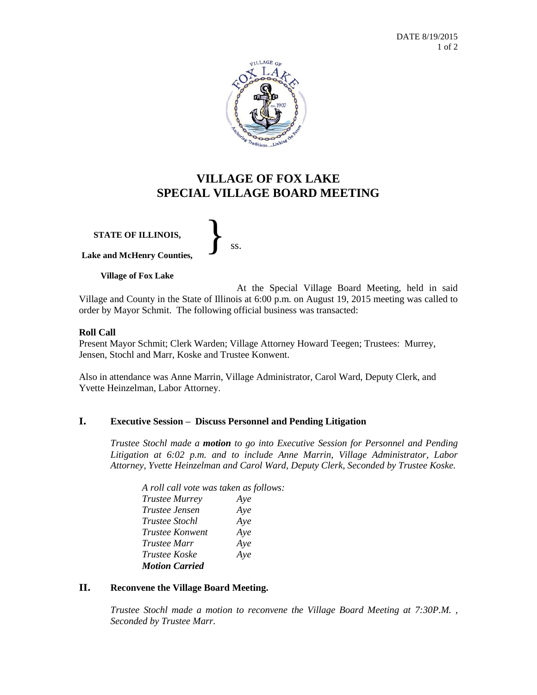

# **VILLAGE OF FOX LAKE SPECIAL VILLAGE BOARD MEETING**

**STATE OF ILLINOIS, Lake and McHenry Counties,** }<br>*ss.* 

**Village of Fox Lake**

At the Special Village Board Meeting, held in said Village and County in the State of Illinois at 6:00 p.m. on August 19, 2015 meeting was called to order by Mayor Schmit. The following official business was transacted:

#### **Roll Call**

Present Mayor Schmit; Clerk Warden; Village Attorney Howard Teegen; Trustees: Murrey, Jensen, Stochl and Marr, Koske and Trustee Konwent.

Also in attendance was Anne Marrin, Village Administrator, Carol Ward, Deputy Clerk, and Yvette Heinzelman, Labor Attorney.

## **I. Executive Session – Discuss Personnel and Pending Litigation**

*Trustee Stochl made a motion to go into Executive Session for Personnel and Pending Litigation at 6:02 p.m. and to include Anne Marrin, Village Administrator, Labor Attorney, Yvette Heinzelman and Carol Ward, Deputy Clerk, Seconded by Trustee Koske.*

| A roll call vote was taken as follows: |     |
|----------------------------------------|-----|
| <b>Trustee Murrey</b>                  | Aye |
| Trustee Jensen                         | Aye |
| <i>Trustee Stochl</i>                  | Aye |
| <i>Trustee Konwent</i>                 | Aye |
| <b>Trustee Marr</b>                    | Aye |
| <i>Trustee Koske</i>                   | Aye |
| <b>Motion Carried</b>                  |     |

#### **II. Reconvene the Village Board Meeting.**

*Trustee Stochl made a motion to reconvene the Village Board Meeting at 7:30P.M. , Seconded by Trustee Marr.*